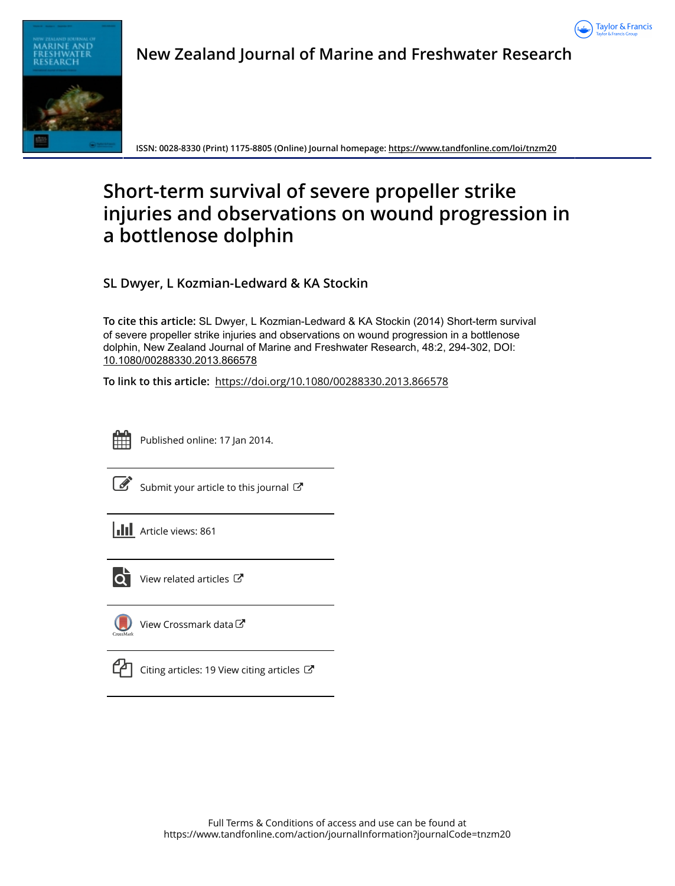



**New Zealand Journal of Marine and Freshwater Research**

**ISSN: 0028-8330 (Print) 1175-8805 (Online) Journal homepage:<https://www.tandfonline.com/loi/tnzm20>**

# **Short-term survival of severe propeller strike injuries and observations on wound progression in a bottlenose dolphin**

**SL Dwyer, L Kozmian-Ledward & KA Stockin**

**To cite this article:** SL Dwyer, L Kozmian-Ledward & KA Stockin (2014) Short-term survival of severe propeller strike injuries and observations on wound progression in a bottlenose dolphin, New Zealand Journal of Marine and Freshwater Research, 48:2, 294-302, DOI: [10.1080/00288330.2013.866578](https://www.tandfonline.com/action/showCitFormats?doi=10.1080/00288330.2013.866578)

**To link to this article:** <https://doi.org/10.1080/00288330.2013.866578>



Published online: 17 Jan 2014.

|--|

[Submit your article to this journal](https://www.tandfonline.com/action/authorSubmission?journalCode=tnzm20&show=instructions)  $\mathbb{Z}$ 





 $\overrightarrow{Q}$  [View related articles](https://www.tandfonline.com/doi/mlt/10.1080/00288330.2013.866578)  $\overrightarrow{C}$ 



[View Crossmark data](http://crossmark.crossref.org/dialog/?doi=10.1080/00288330.2013.866578&domain=pdf&date_stamp=2014-01-17) $\mathbb{Z}$ 



[Citing articles: 19 View citing articles](https://www.tandfonline.com/doi/citedby/10.1080/00288330.2013.866578#tabModule)  $\mathbb{C}$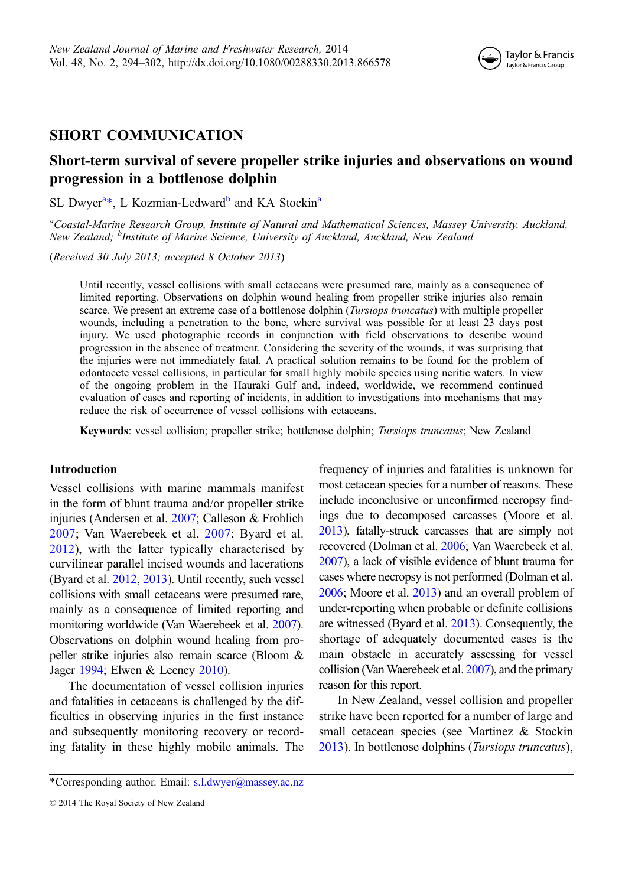

## SHORT COMMUNICATION

# Short-term survival of severe propeller strike injuries and observations on wound progression in a bottlenose dolphin

SL Dwyer<sup>a\*</sup>, L Kozmian-Ledward<sup>b</sup> and KA Stockin<sup>a</sup>

<sup>a</sup>Coastal-Marine Research Group, Institute of Natural and Mathematical Sciences, Massey University, Auckland, New Zealand; <sup>b</sup>Institute of Marine Science, University of Auckland, Auckland, New Zealand

(Received 30 July 2013; accepted 8 October 2013)

Until recently, vessel collisions with small cetaceans were presumed rare, mainly as a consequence of limited reporting. Observations on dolphin wound healing from propeller strike injuries also remain scarce. We present an extreme case of a bottlenose dolphin *(Tursiops truncatus)* with multiple propeller wounds, including a penetration to the bone, where survival was possible for at least 23 days post injury. We used photographic records in conjunction with field observations to describe wound progression in the absence of treatment. Considering the severity of the wounds, it was surprising that the injuries were not immediately fatal. A practical solution remains to be found for the problem of odontocete vessel collisions, in particular for small highly mobile species using neritic waters. In view of the ongoing problem in the Hauraki Gulf and, indeed, worldwide, we recommend continued evaluation of cases and reporting of incidents, in addition to investigations into mechanisms that may reduce the risk of occurrence of vessel collisions with cetaceans.

Keywords: vessel collision; propeller strike; bottlenose dolphin; Tursiops truncatus; New Zealand

## Introduction

Vessel collisions with marine mammals manifest in the form of blunt trauma and/or propeller strike injuries (Andersen et al. [2007;](#page-7-0) Calleson & Frohlich [2007;](#page-8-0) Van Waerebeek et al. [2007](#page-9-0); Byard et al. [2012](#page-8-0)), with the latter typically characterised by curvilinear parallel incised wounds and lacerations (Byard et al. [2012,](#page-8-0) [2013\)](#page-8-0). Until recently, such vessel collisions with small cetaceans were presumed rare, mainly as a consequence of limited reporting and monitoring worldwide (Van Waerebeek et al. [2007](#page-9-0)). Observations on dolphin wound healing from propeller strike injuries also remain scarce (Bloom & Jager [1994;](#page-8-0) Elwen & Leeney [2010](#page-8-0)).

The documentation of vessel collision injuries and fatalities in cetaceans is challenged by the dif‐ ficulties in observing injuries in the first instance and subsequently monitoring recovery or recording fatality in these highly mobile animals. The

frequency of injuries and fatalities is unknown for most cetacean species for a number of reasons. These include inconclusive or unconfirmed necropsy findings due to decomposed carcasses (Moore et al. [2013](#page-8-0)), fatally-struck carcasses that are simply not recovered (Dolman et al. [2006](#page-8-0); Van Waerebeek et al. [2007](#page-9-0)), a lack of visible evidence of blunt trauma for cases where necropsy is not performed (Dolman et al. [2006](#page-8-0); Moore et al. [2013\)](#page-8-0) and an overall problem of under-reporting when probable or definite collisions are witnessed (Byard et al. [2013](#page-8-0)). Consequently, the shortage of adequately documented cases is the main obstacle in accurately assessing for vessel collision (VanWaerebeek et al. [2007\)](#page-9-0), and the primary reason for this report.

In New Zealand, vessel collision and propeller strike have been reported for a number of large and small cetacean species (see Martinez & Stockin [2013\)](#page-8-0). In bottlenose dolphins (*Tursiops truncatus*),

<sup>\*</sup>Corresponding author. Email: [s.l.dwyer@massey.ac.nz](mailto:s.l.dwyer@massey.ac.nz)

<sup>© 2014</sup> The Royal Society of New Zealand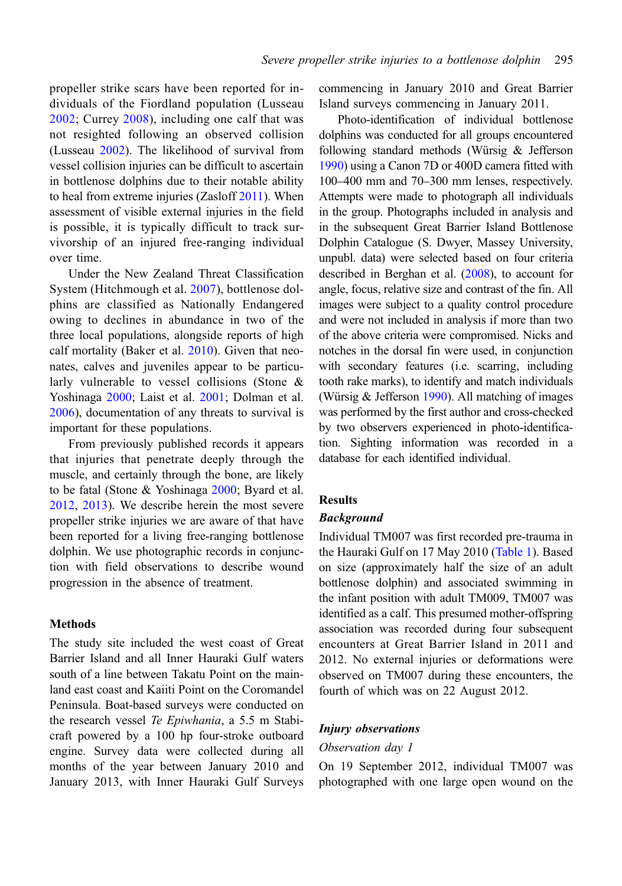propeller strike scars have been reported for in‐ dividuals of the Fiordland population (Lusseau [2002;](#page-8-0) Currey [2008](#page-8-0)), including one calf that was not resighted following an observed collision (Lusseau [2002](#page-8-0)). The likelihood of survival from vessel collision injuries can be difficult to ascertain in bottlenose dolphins due to their notable ability to heal from extreme injuries (Zasloff [2011](#page-9-0)). When assessment of visible external injuries in the field is possible, it is typically difficult to track sur‐ vivorship of an injured free-ranging individual over time.

Under the New Zealand Threat Classification System (Hitchmough et al. [2007\)](#page-8-0), bottlenose dol‐ phins are classified as Nationally Endangered owing to declines in abundance in two of the three local populations, alongside reports of high calf mortality (Baker et al. [2010](#page-7-0)). Given that neonates, calves and juveniles appear to be particularly vulnerable to vessel collisions (Stone & Yoshinaga [2000;](#page-8-0) Laist et al. [2001](#page-8-0); Dolman et al. [2006](#page-8-0)), documentation of any threats to survival is important for these populations.

From previously published records it appears that injuries that penetrate deeply through the muscle, and certainly through the bone, are likely to be fatal (Stone & Yoshinaga [2000;](#page-8-0) Byard et al. [2012](#page-8-0), [2013\)](#page-8-0). We describe herein the most severe propeller strike injuries we are aware of that have been reported for a living free-ranging bottlenose dolphin. We use photographic records in conjunction with field observations to describe wound progression in the absence of treatment.

## **Methods**

The study site included the west coast of Great Barrier Island and all Inner Hauraki Gulf waters south of a line between Takatu Point on the mainland east coast and Kaiiti Point on the Coromandel Peninsula. Boat-based surveys were conducted on the research vessel Te Epiwhania, a 5.5 m Stabicraft powered by a 100 hp four-stroke outboard engine. Survey data were collected during all months of the year between January 2010 and January 2013, with Inner Hauraki Gulf Surveys

commencing in January 2010 and Great Barrier Island surveys commencing in January 2011.

Photo-identification of individual bottlenose dolphins was conducted for all groups encountered following standard methods (Würsig & Jefferson [1990\)](#page-9-0) using a Canon 7D or 400D camera fitted with 100–400 mm and 70–300 mm lenses, respectively. Attempts were made to photograph all individuals in the group. Photographs included in analysis and in the subsequent Great Barrier Island Bottlenose Dolphin Catalogue (S. Dwyer, Massey University, unpubl. data) were selected based on four criteria described in Berghan et al. [\(2008\)](#page-8-0), to account for angle, focus, relative size and contrast of the fin. All images were subject to a quality control procedure and were not included in analysis if more than two of the above criteria were compromised. Nicks and notches in the dorsal fin were used, in conjunction with secondary features (i.e. scarring, including tooth rake marks), to identify and match individuals (Würsig  $&$  Jefferson [1990\)](#page-9-0). All matching of images was performed by the first author and cross-checked by two observers experienced in photo-identification. Sighting information was recorded in a database for each identified individual.

## **Results**

## Background

Individual TM007 was first recorded pre-trauma in the Hauraki Gulf on 17 May 2010 [\(Table 1](#page-3-0)). Based on size (approximately half the size of an adult bottlenose dolphin) and associated swimming in the infant position with adult TM009, TM007 was identified as a calf. This presumed mother-offspring association was recorded during four subsequent encounters at Great Barrier Island in 2011 and 2012. No external injuries or deformations were observed on TM007 during these encounters, the fourth of which was on 22 August 2012.

## Injury observations

#### Observation day 1

On 19 September 2012, individual TM007 was photographed with one large open wound on the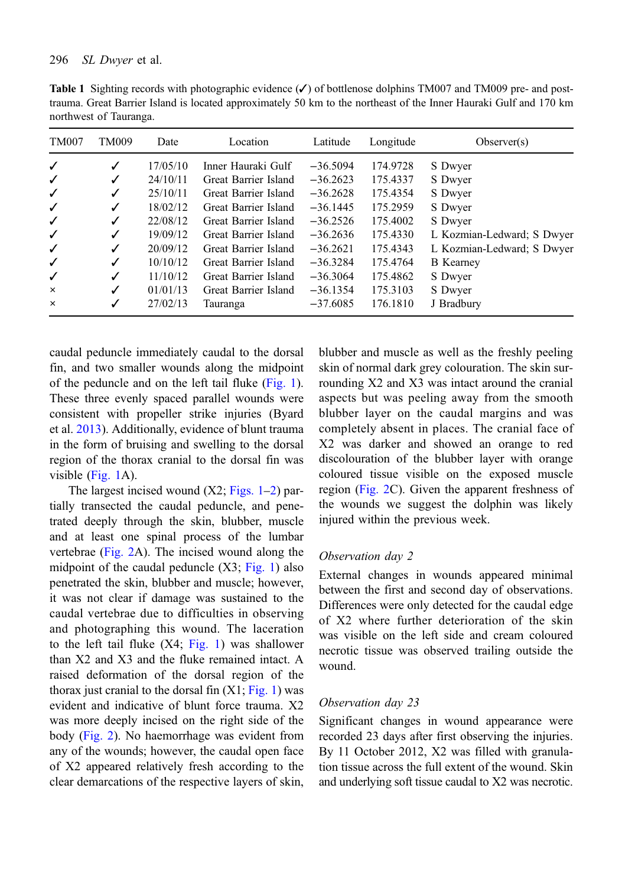| <b>TM007</b> | TM009 | Date     | Location             | Latitude   | Longitude | Observer(s)                |
|--------------|-------|----------|----------------------|------------|-----------|----------------------------|
| ✓            | √     | 17/05/10 | Inner Hauraki Gulf   | $-36.5094$ | 174.9728  | S Dwyer                    |
| ✓            |       | 24/10/11 | Great Barrier Island | $-36.2623$ | 175.4337  | S Dwyer                    |
| ✓            |       | 25/10/11 | Great Barrier Island | $-36.2628$ | 175.4354  | S Dwyer                    |
| ✓            | ✓     | 18/02/12 | Great Barrier Island | $-36.1445$ | 175.2959  | S Dwyer                    |
| ✓            |       | 22/08/12 | Great Barrier Island | $-36.2526$ | 175.4002  | S Dwyer                    |
| ✓            |       | 19/09/12 | Great Barrier Island | $-36.2636$ | 175.4330  | L Kozmian-Ledward; S Dwyer |
| ✓            |       | 20/09/12 | Great Barrier Island | $-36.2621$ | 175.4343  | L Kozmian-Ledward; S Dwyer |
| ✓            | ✓     | 10/10/12 | Great Barrier Island | $-36.3284$ | 175.4764  | <b>B</b> Kearney           |
| ✓            |       | 11/10/12 | Great Barrier Island | $-36.3064$ | 175.4862  | S Dwyer                    |
| $\times$     | ✓     | 01/01/13 | Great Barrier Island | $-36.1354$ | 175.3103  | S Dwyer                    |
| $\times$     |       | 27/02/13 | Tauranga             | $-37.6085$ | 176.1810  | J Bradbury                 |

<span id="page-3-0"></span>Table 1 Sighting records with photographic evidence (✓) of bottlenose dolphins TM007 and TM009 pre- and posttrauma. Great Barrier Island is located approximately 50 km to the northeast of the Inner Hauraki Gulf and 170 km northwest of Tauranga.

caudal peduncle immediately caudal to the dorsal fin, and two smaller wounds along the midpoint of the peduncle and on the left tail fluke [\(Fig. 1](#page-4-0)). These three evenly spaced parallel wounds were consistent with propeller strike injuries (Byard et al. [2013\)](#page-8-0). Additionally, evidence of blunt trauma in the form of bruising and swelling to the dorsal region of the thorax cranial to the dorsal fin was visible [\(Fig. 1](#page-4-0)A).

The largest incised wound  $(X2; Figs. 1-2)$  $(X2; Figs. 1-2)$  $(X2; Figs. 1-2)$  $(X2; Figs. 1-2)$  $(X2; Figs. 1-2)$  partially transected the caudal peduncle, and penetrated deeply through the skin, blubber, muscle and at least one spinal process of the lumbar vertebrae ([Fig. 2A](#page-5-0)). The incised wound along the midpoint of the caudal peduncle  $(X3; Fig. 1)$  $(X3; Fig. 1)$  also penetrated the skin, blubber and muscle; however, it was not clear if damage was sustained to the caudal vertebrae due to difficulties in observing and photographing this wound. The laceration to the left tail fluke  $(X4; Fig. 1)$  $(X4; Fig. 1)$  $(X4; Fig. 1)$  was shallower than X2 and X3 and the fluke remained intact. A raised deformation of the dorsal region of the thorax just cranial to the dorsal fin  $(X1; Fig. 1)$  $(X1; Fig. 1)$  $(X1; Fig. 1)$  was evident and indicative of blunt force trauma. X2 was more deeply incised on the right side of the body [\(Fig. 2](#page-5-0)). No haemorrhage was evident from any of the wounds; however, the caudal open face of X2 appeared relatively fresh according to the clear demarcations of the respective layers of skin,

blubber and muscle as well as the freshly peeling skin of normal dark grey colouration. The skin sur‐ rounding X2 and X3 was intact around the cranial aspects but was peeling away from the smooth blubber layer on the caudal margins and was completely absent in places. The cranial face of X2 was darker and showed an orange to red discolouration of the blubber layer with orange coloured tissue visible on the exposed muscle region [\(Fig. 2](#page-5-0)C). Given the apparent freshness of the wounds we suggest the dolphin was likely injured within the previous week.

## Observation day 2

External changes in wounds appeared minimal between the first and second day of observations. Differences were only detected for the caudal edge of X2 where further deterioration of the skin was visible on the left side and cream coloured necrotic tissue was observed trailing outside the wound.

## Observation day 23

Significant changes in wound appearance were recorded 23 days after first observing the injuries. By 11 October 2012, X2 was filled with granulation tissue across the full extent of the wound. Skin and underlying soft tissue caudal to X2 was necrotic.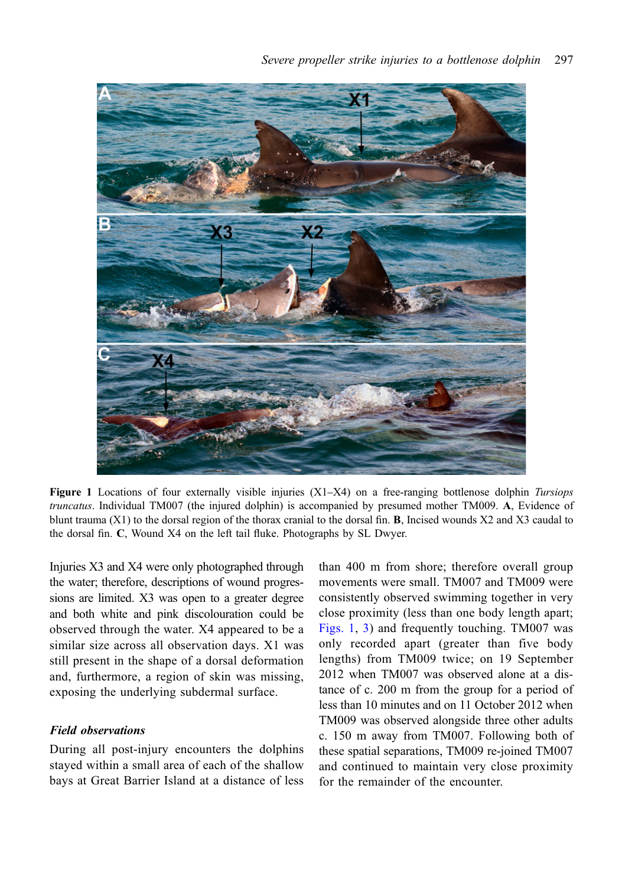<span id="page-4-0"></span>

Figure 1 Locations of four externally visible injuries  $(X1-X4)$  on a free-ranging bottlenose dolphin Tursiops truncatus. Individual TM007 (the injured dolphin) is accompanied by presumed mother TM009. A, Evidence of blunt trauma  $(X1)$  to the dorsal region of the thorax cranial to the dorsal fin. **B**, Incised wounds  $X2$  and  $X3$  caudal to the dorsal fin. C, Wound X4 on the left tail fluke. Photographs by SL Dwyer.

Injuries X3 and X4 were only photographed through the water; therefore, descriptions of wound progressions are limited. X3 was open to a greater degree and both white and pink discolouration could be observed through the water. X4 appeared to be a similar size across all observation days. X1 was still present in the shape of a dorsal deformation and, furthermore, a region of skin was missing, exposing the underlying subdermal surface.

## Field observations

During all post-injury encounters the dolphins stayed within a small area of each of the shallow bays at Great Barrier Island at a distance of less

than 400 m from shore; therefore overall group movements were small. TM007 and TM009 were consistently observed swimming together in very close proximity (less than one body length apart; Figs. 1, 3) and frequently touching. TM007 was only recorded apart (greater than five body lengths) from TM009 twice; on 19 September 2012 when TM007 was observed alone at a dis‐ tance of c. 200 m from the group for a period of less than 10 minutes and on 11 October 2012 when TM009 was observed alongside three other adults c. 150 m away from TM007. Following both of these spatial separations, TM009 re-joined TM007 and continued to maintain very close proximity for the remainder of the encounter.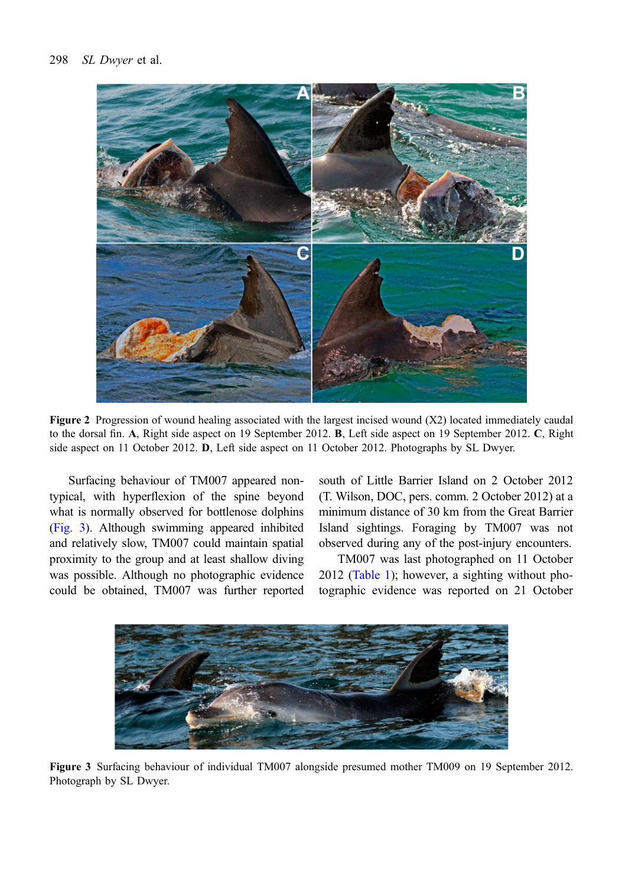<span id="page-5-0"></span>

Figure 2 Progression of wound healing associated with the largest incised wound (X2) located immediately caudal to the dorsal fin. A, Right side aspect on 19 September 2012. B, Left side aspect on 19 September 2012. C, Right side aspect on 11 October 2012. **D**, Left side aspect on 11 October 2012. Photographs by SL Dwyer.

Surfacing behaviour of TM007 appeared nontypical, with hyperflexion of the spine beyond what is normally observed for bottlenose dolphins (Fig. 3). Although swimming appeared inhibited and relatively slow, TM007 could maintain spatial proximity to the group and at least shallow diving was possible. Although no photographic evidence could be obtained, TM007 was further reported

south of Little Barrier Island on 2 October 2012 (T. Wilson, DOC, pers. comm. 2 October 2012) at a minimum distance of 30 km from the Great Barrier Island sightings. Foraging by TM007 was not observed during any of the post-injury encounters.

TM007 was last photographed on 11 October 2012 ([Table 1](#page-3-0)); however, a sighting without pho‐ tographic evidence was reported on 21 October



Figure 3 Surfacing behaviour of individual TM007 alongside presumed mother TM009 on 19 September 2012. Photograph by SL Dwyer.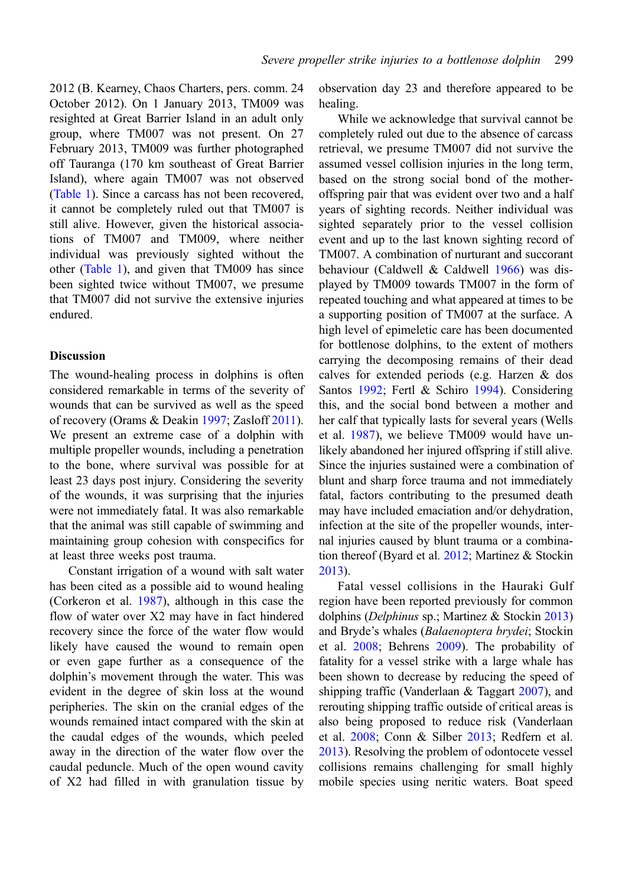2012 (B. Kearney, Chaos Charters, pers. comm. 24 October 2012). On 1 January 2013, TM009 was resighted at Great Barrier Island in an adult only group, where TM007 was not present. On 27 February 2013, TM009 was further photographed off Tauranga (170 km southeast of Great Barrier Island), where again TM007 was not observed ([Table 1\)](#page-3-0). Since a carcass has not been recovered, it cannot be completely ruled out that TM007 is still alive. However, given the historical associations of TM007 and TM009, where neither individual was previously sighted without the other ([Table 1](#page-3-0)), and given that TM009 has since been sighted twice without TM007, we presume that TM007 did not survive the extensive injuries endured.

#### **Discussion**

The wound-healing process in dolphins is often considered remarkable in terms of the severity of wounds that can be survived as well as the speed of recovery (Orams & Deakin [1997;](#page-8-0) Zasloff [2011](#page-9-0)). We present an extreme case of a dolphin with multiple propeller wounds, including a penetration to the bone, where survival was possible for at least 23 days post injury. Considering the severity of the wounds, it was surprising that the injuries were not immediately fatal. It was also remarkable that the animal was still capable of swimming and maintaining group cohesion with conspecifics for at least three weeks post trauma.

Constant irrigation of a wound with salt water has been cited as a possible aid to wound healing (Corkeron et al. [1987\)](#page-8-0), although in this case the flow of water over X2 may have in fact hindered recovery since the force of the water flow would likely have caused the wound to remain open or even gape further as a consequence of the dolphin's movement through the water. This was evident in the degree of skin loss at the wound peripheries. The skin on the cranial edges of the wounds remained intact compared with the skin at the caudal edges of the wounds, which peeled away in the direction of the water flow over the caudal peduncle. Much of the open wound cavity of X2 had filled in with granulation tissue by observation day 23 and therefore appeared to be healing.

While we acknowledge that survival cannot be completely ruled out due to the absence of carcass retrieval, we presume TM007 did not survive the assumed vessel collision injuries in the long term, based on the strong social bond of the motheroffspring pair that was evident over two and a half years of sighting records. Neither individual was sighted separately prior to the vessel collision event and up to the last known sighting record of TM007. A combination of nurturant and succorant behaviour (Caldwell & Caldwell [1966](#page-8-0)) was displayed by TM009 towards TM007 in the form of repeated touching and what appeared at times to be a supporting position of TM007 at the surface. A high level of epimeletic care has been documented for bottlenose dolphins, to the extent of mothers carrying the decomposing remains of their dead calves for extended periods (e.g. Harzen & dos Santos [1992;](#page-8-0) Fertl & Schiro [1994](#page-8-0)). Considering this, and the social bond between a mother and her calf that typically lasts for several years (Wells et al. [1987\)](#page-9-0), we believe TM009 would have unlikely abandoned her injured offspring if still alive. Since the injuries sustained were a combination of blunt and sharp force trauma and not immediately fatal, factors contributing to the presumed death may have included emaciation and/or dehydration, infection at the site of the propeller wounds, internal injuries caused by blunt trauma or a combina-tion thereof (Byard et al. [2012;](#page-8-0) Martinez & Stockin [2013\)](#page-8-0).

Fatal vessel collisions in the Hauraki Gulf region have been reported previously for common dolphins (Delphinus sp.; Martinez & Stockin [2013](#page-8-0)) and Bryde's whales (Balaenoptera brydei; Stockin et al. [2008](#page-8-0); Behrens [2009](#page-8-0)). The probability of fatality for a vessel strike with a large whale has been shown to decrease by reducing the speed of shipping traffic (Vanderlaan & Taggart [2007\)](#page-9-0), and rerouting shipping traffic outside of critical areas is also being proposed to reduce risk (Vanderlaan et al. [2008](#page-9-0); Conn & Silber [2013;](#page-8-0) Redfern et al. [2013\)](#page-8-0). Resolving the problem of odontocete vessel collisions remains challenging for small highly mobile species using neritic waters. Boat speed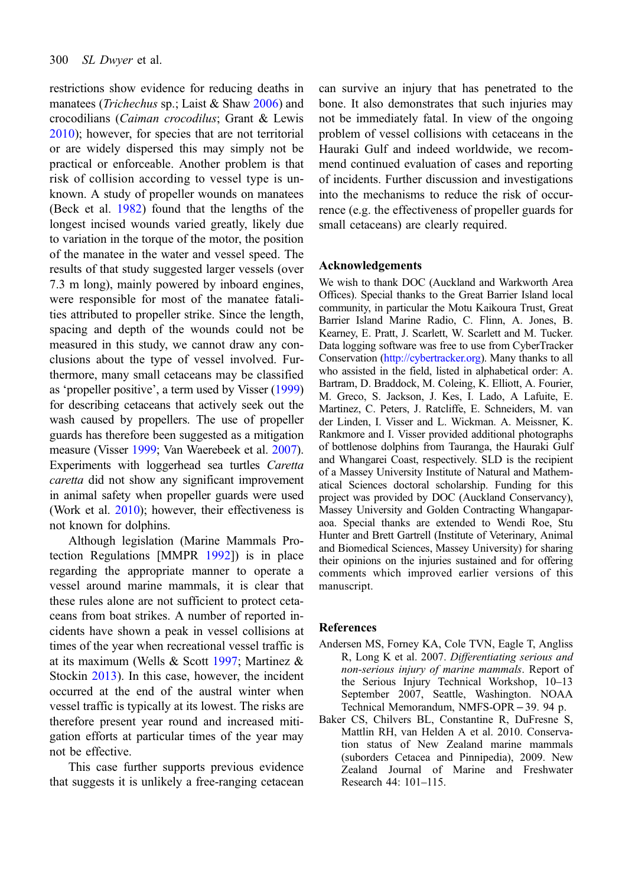<span id="page-7-0"></span>restrictions show evidence for reducing deaths in manatees (*Trichechus* sp.; Laist & Shaw [2006\)](#page-8-0) and crocodilians (Caiman crocodilus; Grant & Lewis [2010](#page-8-0)); however, for species that are not territorial or are widely dispersed this may simply not be practical or enforceable. Another problem is that risk of collision according to vessel type is un‐ known. A study of propeller wounds on manatees (Beck et al. [1982\)](#page-8-0) found that the lengths of the longest incised wounds varied greatly, likely due to variation in the torque of the motor, the position of the manatee in the water and vessel speed. The results of that study suggested larger vessels (over 7.3 m long), mainly powered by inboard engines, were responsible for most of the manatee fatalities attributed to propeller strike. Since the length, spacing and depth of the wounds could not be measured in this study, we cannot draw any conclusions about the type of vessel involved. Furthermore, many small cetaceans may be classified as 'propeller positive', a term used by Visser [\(1999\)](#page-9-0) for describing cetaceans that actively seek out the wash caused by propellers. The use of propeller guards has therefore been suggested as a mitigation measure (Visser [1999](#page-9-0); Van Waerebeek et al. [2007](#page-9-0)). Experiments with loggerhead sea turtles Caretta caretta did not show any significant improvement in animal safety when propeller guards were used (Work et al. [2010\)](#page-9-0); however, their effectiveness is not known for dolphins.

Although legislation (Marine Mammals Protection Regulations [MMPR [1992](#page-8-0)]) is in place regarding the appropriate manner to operate a vessel around marine mammals, it is clear that these rules alone are not sufficient to protect ceta‐ ceans from boat strikes. A number of reported in‐ cidents have shown a peak in vessel collisions at times of the year when recreational vessel traffic is at its maximum (Wells & Scott [1997;](#page-9-0) Martinez & Stockin [2013\)](#page-8-0). In this case, however, the incident occurred at the end of the austral winter when vessel traffic is typically at its lowest. The risks are therefore present year round and increased mitigation efforts at particular times of the year may not be effective.

This case further supports previous evidence that suggests it is unlikely a free-ranging cetacean can survive an injury that has penetrated to the bone. It also demonstrates that such injuries may not be immediately fatal. In view of the ongoing problem of vessel collisions with cetaceans in the Hauraki Gulf and indeed worldwide, we recommend continued evaluation of cases and reporting of incidents. Further discussion and investigations into the mechanisms to reduce the risk of occurrence (e.g. the effectiveness of propeller guards for small cetaceans) are clearly required.

### Acknowledgements

We wish to thank DOC (Auckland and Warkworth Area Offices). Special thanks to the Great Barrier Island local community, in particular the Motu Kaikoura Trust, Great Barrier Island Marine Radio, C. Flinn, A. Jones, B. Kearney, E. Pratt, J. Scarlett, W. Scarlett and M. Tucker. Data logging software was free to use from CyberTracker Conservation (<http://cybertracker.org>). Many thanks to all who assisted in the field, listed in alphabetical order: A. Bartram, D. Braddock, M. Coleing, K. Elliott, A. Fourier, M. Greco, S. Jackson, J. Kes, I. Lado, A Lafuite, E. Martinez, C. Peters, J. Ratcliffe, E. Schneiders, M. van der Linden, I. Visser and L. Wickman. A. Meissner, K. Rankmore and I. Visser provided additional photographs of bottlenose dolphins from Tauranga, the Hauraki Gulf and Whangarei Coast, respectively. SLD is the recipient of a Massey University Institute of Natural and Mathematical Sciences doctoral scholarship. Funding for this project was provided by DOC (Auckland Conservancy), Massey University and Golden Contracting Whangaparaoa. Special thanks are extended to Wendi Roe, Stu Hunter and Brett Gartrell (Institute of Veterinary, Animal and Biomedical Sciences, Massey University) for sharing their opinions on the injuries sustained and for offering comments which improved earlier versions of this manuscript.

#### References

- Andersen MS, Forney KA, Cole TVN, Eagle T, Angliss R, Long K et al. 2007. Differentiating serious and non-serious injury of marine mammals. Report of the Serious Injury Technical Workshop, 10–13 September 2007, Seattle, Washington. NOAA Technical Memorandum, NMFS-OPR−39. 94 p.
- Baker CS, Chilvers BL, Constantine R, DuFresne S, Mattlin RH, van Helden A et al. 2010. Conservation status of New Zealand marine mammals (suborders Cetacea and Pinnipedia), 2009. New Zealand Journal of Marine and Freshwater Research 44: 101–115.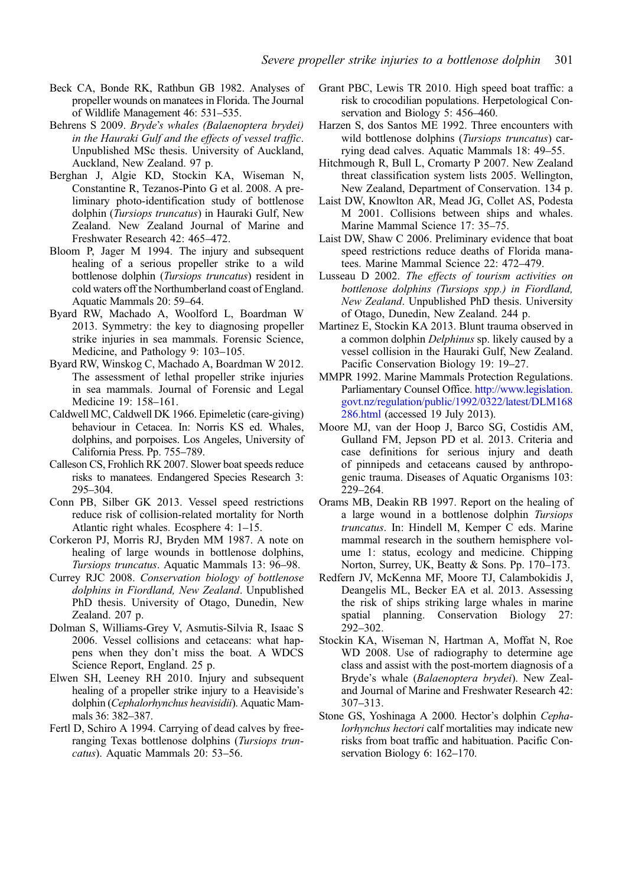- <span id="page-8-0"></span>Beck CA, Bonde RK, Rathbun GB 1982. Analyses of propeller wounds on manatees in Florida. The Journal of Wildlife Management 46: 531–535.
- Behrens S 2009. Bryde's whales (Balaenoptera brydei) in the Hauraki Gulf and the effects of vessel traffic. Unpublished MSc thesis. University of Auckland, Auckland, New Zealand. 97 p.
- Berghan J, Algie KD, Stockin KA, Wiseman N, Constantine R, Tezanos-Pinto G et al. 2008. A pre‐ liminary photo-identification study of bottlenose dolphin (Tursiops truncatus) in Hauraki Gulf, New Zealand. New Zealand Journal of Marine and Freshwater Research 42: 465–472.
- Bloom P, Jager M 1994. The injury and subsequent healing of a serious propeller strike to a wild bottlenose dolphin (Tursiops truncatus) resident in cold waters off the Northumberland coast of England. Aquatic Mammals 20: 59–64.
- Byard RW, Machado A, Woolford L, Boardman W 2013. Symmetry: the key to diagnosing propeller strike injuries in sea mammals. Forensic Science, Medicine, and Pathology 9: 103–105.
- Byard RW, Winskog C, Machado A, Boardman W 2012. The assessment of lethal propeller strike injuries in sea mammals. Journal of Forensic and Legal Medicine 19: 158–161.
- Caldwell MC, Caldwell DK 1966. Epimeletic (care-giving) behaviour in Cetacea. In: Norris KS ed. Whales, dolphins, and porpoises. Los Angeles, University of California Press. Pp. 755–789.
- Calleson CS, Frohlich RK 2007. Slower boat speeds reduce risks to manatees. Endangered Species Research 3: 295–304.
- Conn PB, Silber GK 2013. Vessel speed restrictions reduce risk of collision-related mortality for North Atlantic right whales. Ecosphere 4: 1–15.
- Corkeron PJ, Morris RJ, Bryden MM 1987. A note on healing of large wounds in bottlenose dolphins, Tursiops truncatus. Aquatic Mammals 13: 96–98.
- Currey RJC 2008. Conservation biology of bottlenose dolphins in Fiordland, New Zealand. Unpublished PhD thesis. University of Otago, Dunedin, New Zealand. 207 p.
- Dolman S, Williams-Grey V, Asmutis-Silvia R, Isaac S 2006. Vessel collisions and cetaceans: what happens when they don't miss the boat. A WDCS Science Report, England. 25 p.
- Elwen SH, Leeney RH 2010. Injury and subsequent healing of a propeller strike injury to a Heaviside's dolphin (Cephalorhynchus heavisidii). Aquatic Mammals 36: 382–387.
- Fertl D, Schiro A 1994. Carrying of dead calves by freeranging Texas bottlenose dolphins (Tursiops truncatus). Aquatic Mammals 20: 53–56.
- Grant PBC, Lewis TR 2010. High speed boat traffic: a risk to crocodilian populations. Herpetological Con‐ servation and Biology 5: 456–460.
- Harzen S, dos Santos ME 1992. Three encounters with wild bottlenose dolphins (*Tursiops truncatus*) carrying dead calves. Aquatic Mammals 18: 49–55.
- Hitchmough R, Bull L, Cromarty P 2007. New Zealand threat classification system lists 2005. Wellington, New Zealand, Department of Conservation. 134 p.
- Laist DW, Knowlton AR, Mead JG, Collet AS, Podesta M 2001. Collisions between ships and whales. Marine Mammal Science 17: 35–75.
- Laist DW, Shaw C 2006. Preliminary evidence that boat speed restrictions reduce deaths of Florida manatees. Marine Mammal Science 22: 472–479.
- Lusseau D 2002. The effects of tourism activities on bottlenose dolphins (Tursiops spp.) in Fiordland, New Zealand. Unpublished PhD thesis. University of Otago, Dunedin, New Zealand. 244 p.
- Martinez E, Stockin KA 2013. Blunt trauma observed in a common dolphin Delphinus sp. likely caused by a vessel collision in the Hauraki Gulf, New Zealand. Pacific Conservation Biology 19: 19–27.
- MMPR 1992. Marine Mammals Protection Regulations. Parliamentary Counsel Office. [http://www.legislation.](http://www.legislation.govt.nz/regulation/public/1992/0322/latest/DLM168286.html) [govt.nz/regulation/public/1992/0322/latest/DLM168](http://www.legislation.govt.nz/regulation/public/1992/0322/latest/DLM168286.html) [286.html](http://www.legislation.govt.nz/regulation/public/1992/0322/latest/DLM168286.html) (accessed 19 July 2013).
- Moore MJ, van der Hoop J, Barco SG, Costidis AM, Gulland FM, Jepson PD et al. 2013. Criteria and case definitions for serious injury and death of pinnipeds and cetaceans caused by anthropogenic trauma. Diseases of Aquatic Organisms 103: 229–264.
- Orams MB, Deakin RB 1997. Report on the healing of a large wound in a bottlenose dolphin Tursiops truncatus. In: Hindell M, Kemper C eds. Marine mammal research in the southern hemisphere volume 1: status, ecology and medicine. Chipping Norton, Surrey, UK, Beatty & Sons. Pp. 170–173.
- Redfern JV, McKenna MF, Moore TJ, Calambokidis J, Deangelis ML, Becker EA et al. 2013. Assessing the risk of ships striking large whales in marine spatial planning. Conservation Biology 27: 292–302.
- Stockin KA, Wiseman N, Hartman A, Moffat N, Roe WD 2008. Use of radiography to determine age class and assist with the post-mortem diagnosis of a Bryde's whale (Balaenoptera brydei). New Zealand Journal of Marine and Freshwater Research 42: 307–313.
- Stone GS, Yoshinaga A 2000. Hector's dolphin Cephalorhynchus hectori calf mortalities may indicate new risks from boat traffic and habituation. Pacific Con‐ servation Biology 6: 162–170.